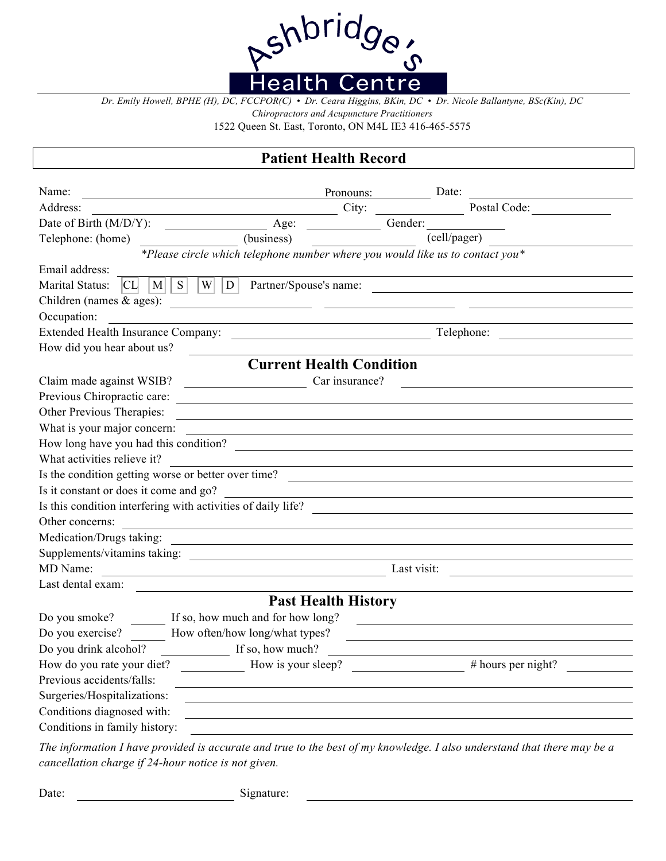

*Dr. Emily Howell, BPHE (H), DC, FCCPOR(C) • Dr. Ceara Higgins, BKin, DC • Dr. Nicole Ballantyne, BSc(Kin), DC* 

*Chiropractors and Acupuncture Practitioners* 

1522 Queen St. East, Toronto, ON M4L IE3 416-465-5575

## **Patient Health Record**

| Name:                                                                                                                                             | Pronouns:              | Date:              |  |  |  |
|---------------------------------------------------------------------------------------------------------------------------------------------------|------------------------|--------------------|--|--|--|
| Address:                                                                                                                                          | City:                  | Postal Code:       |  |  |  |
| Date of Birth (M/D/Y):<br>Age:                                                                                                                    | Gender:                |                    |  |  |  |
| Telephone: (home)<br>$\frac{1}{\sqrt{1-\frac{1}{2}}}\$ (business)                                                                                 |                        | (cell/pager)       |  |  |  |
| *Please circle which telephone number where you would like us to contact you*                                                                     |                        |                    |  |  |  |
| Email address:                                                                                                                                    |                        |                    |  |  |  |
| S<br>Marital Status:<br>W<br>CL<br>$\mathbf{M}$<br>D                                                                                              | Partner/Spouse's name: |                    |  |  |  |
| Children (names $&$ ages):                                                                                                                        |                        |                    |  |  |  |
| Occupation:                                                                                                                                       |                        |                    |  |  |  |
| Extended Health Insurance Company:                                                                                                                |                        | Telephone:         |  |  |  |
| How did you hear about us?                                                                                                                        |                        |                    |  |  |  |
| <b>Current Health Condition</b>                                                                                                                   |                        |                    |  |  |  |
| Claim made against WSIB?                                                                                                                          | Car insurance?         |                    |  |  |  |
| Previous Chiropractic care:                                                                                                                       |                        |                    |  |  |  |
| Other Previous Therapies:                                                                                                                         |                        |                    |  |  |  |
| What is your major concern:                                                                                                                       |                        |                    |  |  |  |
| How long have you had this condition?                                                                                                             |                        |                    |  |  |  |
| What activities relieve it?                                                                                                                       |                        |                    |  |  |  |
| Is the condition getting worse or better over time?                                                                                               |                        |                    |  |  |  |
| Is it constant or does it come and go?                                                                                                            |                        |                    |  |  |  |
| Is this condition interfering with activities of daily life?                                                                                      |                        |                    |  |  |  |
| Other concerns:                                                                                                                                   |                        |                    |  |  |  |
| Medication/Drugs taking:<br><u> 1989 - Johann Harry Harry Harry Harry Harry Harry Harry Harry Harry Harry Harry Harry Harry Harry Harry Harry</u> |                        |                    |  |  |  |
| Supplements/vitamins taking:                                                                                                                      |                        |                    |  |  |  |
| MD Name:<br><u> 1980 - Johann Barn, mars an t-Amerikaansk kommunister (</u>                                                                       |                        | Last visit:        |  |  |  |
| Last dental exam:                                                                                                                                 |                        |                    |  |  |  |
| <b>Past Health History</b>                                                                                                                        |                        |                    |  |  |  |
| If so, how much and for how long?<br>Do you smoke?                                                                                                |                        |                    |  |  |  |
| Do you exercise?<br>How often/how long/what types?                                                                                                |                        |                    |  |  |  |
| Do you drink alcohol?<br>If so, how much?                                                                                                         |                        |                    |  |  |  |
| How do you rate your diet?                                                                                                                        | How is your sleep?     | # hours per night? |  |  |  |
| Previous accidents/falls:                                                                                                                         |                        |                    |  |  |  |
| Surgeries/Hospitalizations:                                                                                                                       |                        |                    |  |  |  |
| Conditions diagnosed with:                                                                                                                        |                        |                    |  |  |  |
| Conditions in family history:                                                                                                                     |                        |                    |  |  |  |
|                                                                                                                                                   |                        |                    |  |  |  |

*The information I have provided is accurate and true to the best of my knowledge. I also understand that there may be a cancellation charge if 24-hour notice is not given.* 

Date: Signature: